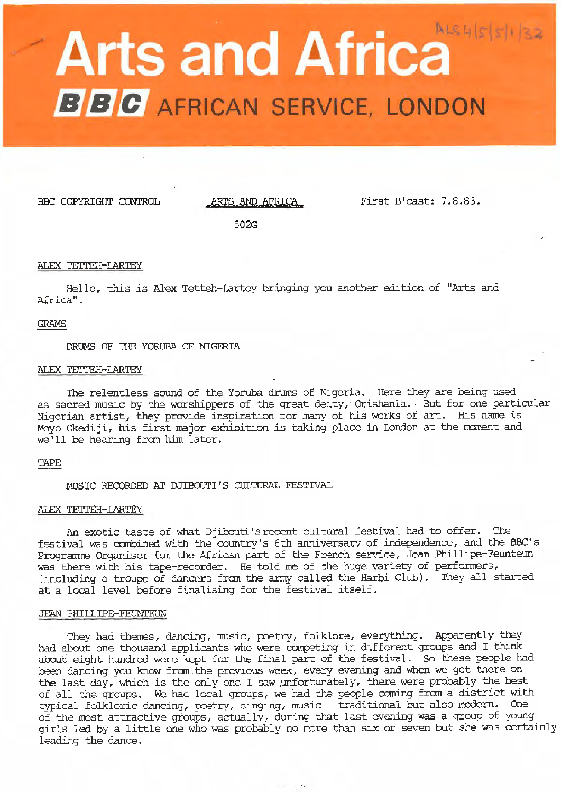# **Arts and Africa BBC** AFRICAN SERVICE, LONDON

BBC COPYRIGHT CONTROL ARTS AND AFRICA First B'cast: 7.8.83.

502G

# ALEX TETTEH-LARTEY

Hello, this is Alex Tetteh-Lartey bringing you another edition of "Arts and Africa".

# GRAMS

DRUMS OF THE YORUBA OF NIGERIA

#### ALEX TETI'EH-IARTEY

The relentless sound of the Yoruba drums of Nigeria. Here they are being used as sacred music by the worshippers of the great deity, Orishanla. But for one particular Nigerian artist, they provide inspiration for many of his works of art. His name is Moyo Okediji, his first major exhibition is taking place in London at the moment and we' 11 be hearing fran him later.

# TAPE

MUSIC RECORDED AT DJIBOUTI'S CULTURAL FESTIVAL

## ALEX TETTEH-LARTEY

An exotic taste of what Djibouti's recent cultural festival had to offer. The festival was combined with the country's 6th anniversary of independence, and the BBC's Progranme Organiser for the African part of the French service, Jean Phillipe-Feunteun was there with his tape-recorder. He told me of the huge variety of performers, (including a troupe of dancers from the army called the Harbi Club). They all started at a local level before finalising for the festival itself.

## JEAN PHILLIPE-FEUNIEUN

They had themes, dancing, music, poetry, folklore, everything. Apparently they had about one thousand applicants who were canpeting in different groups and I think about eight hundred were kept for the final part of the festival. So these people had been dancing you know from.the previous week, every evening and when we got there on the last day, which is the only one I saw ,unfortunately, there were probably the best of all the groups. We had local groups, we had the people caning fran a district with typical folkloric dancing, poetry, singing, music - traditional but also modern. One of the most attractive groups, actually, during that last evening was a group of young girls led by a little one who was probably no more than six or seven but she was certainly leading the dance.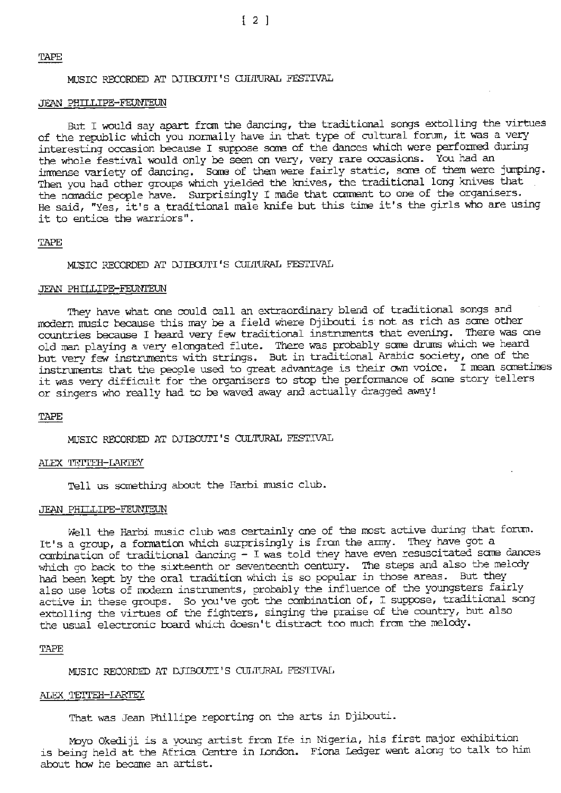# TAPE

MUSIC RECORDED AT DJIBOUTI'S ClJLTURAL FESTIVAL

#### JEAN PHILLIPE-FEUNI'EUN

But I would say apart from the dancing, the traditional songs extolling the virtues of the republic which you nonnally have in that type of cultural forum, it was a very interesting occasion because I suppose scme of the dances which were perfonned during the whole festival would only be seen on very, very rare occasions. You had an imnense variety of dancing. Sane of them were fairly static, sane of them were jumping. Then you had other groups which yielded the knives, the traditional long knives that the nomadic people have. Surprisingly I made that comment to one of the organisers. He said, "Yes, it's a traditional male knife but this time it's the girls who are using it to entice the warriors".

## TAPE

MUSIC RECORDED AT DJIBOUrI'S CULTURAL FESTIVAL

#### JEAN PHILLIPE-FEUNIEUN

They have what one could call an extraordinary blend of traditional songs and modern music because this may be a field where Djibouti is not as rich as sane other countries because I heard very few- traditional instruments that evening. There was one old man playing a very elongated flute. There was probably sane drums which we heard but very few instruments with strings. But in traditional Arabic society, one of the instruments that the people used to great advantage is their own voice. I mean sometimes it was very difficult for the organisers to stop the performance of some story tellers or singers who really had to be waved away and actually dragged away!

#### TAPE

MUSIC RECORDED AT DJIBOUTI'S CULTURAL FESTIVAL

## ALEX TETTEH-LARTEY

Tell us something about the Harbi music club.

# JEAN PHILLIPE-FEUNTEUN

Well the Barbi music club was certainly one of the most active during that forum. It's a group, a formation which surprisingly is from the army. They have got a canbination of traditional dancing - I was told they have even resuscitated sane dances which go back to the sixteenth or seventeenth century. The steps and also the melody had been kept by the oral tradition which is so popular in those areas. But they also use lots of modern instruments, probably the influence of the youngsters fairly active in these groups. So you've got the combination of, I suppose, traditional song extolling the virtues of the fighters, singing the praise of the country, but also the usual electronic board which doesn't distract too much from the melody.

#### TAPE

MUSIC RECORDED AT DJIBOUTI'S CULTURAL FESTIVAL

## ALEX TETTEH-LARTEY

That was Jean Phillipe reporting on the arts in Djibouti.

~yo Okediji is a young artist fran Ife *in* Nigeria, his first major exhibition is being held at the Africa Centre in London. Fiona Ledger went along to talk to him about how he became an artist.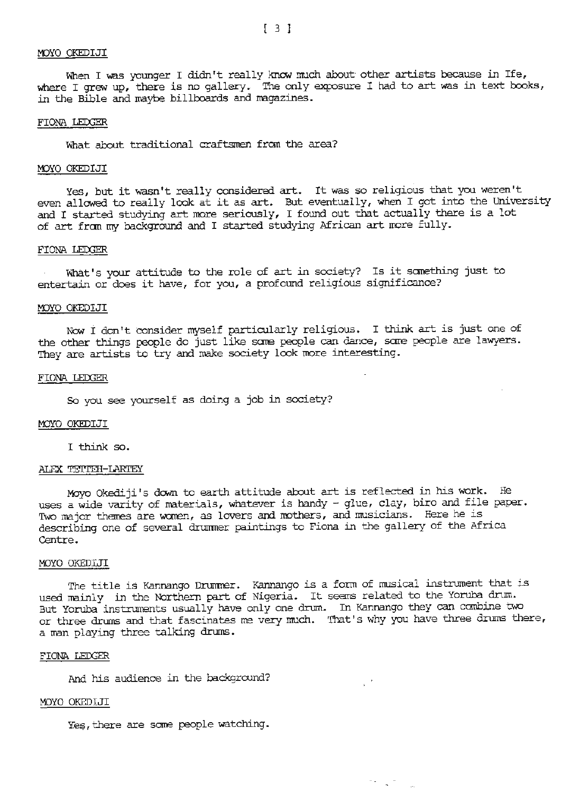#### *<sup>I</sup>*IDYO OKEDIJI

When I was younger I didn't really know much about other artists because in Ife, where I grew up, there is no gallery. The only exposure I had to art was in text books, in the Bible and maybe billboards and magazines.

## FIONA LEDGER

What about traditional craftsmen from the area?

#### MOYO OKEDIJI

Yes, but it wasn't really considered art. It was so religious that you weren't even allowed to really look at it as art. But eventually, when I got into the University and I started studying art more seriously, I found out that actually there is a lot of art fran my background and I started studying African art more fully.

## FIONA LEDGER

What's your attitude to the role of art in society? Is it sanething just to entertain or does it have, for you, a profound religious significance?

## MOYO OKEDIJI

New I don't consider myself particularly religious. I think art is just one of the other things people do just like same people can dance, same people are lawyers. They are artists to try and make society look more interesting.

## FIONA LEDGER

So you see yourself as doing a job in society?

## MJYO OKEDIJI

I think so.

#### ALEX TETTEH-LARTEY

Moyo Okediji's down to earth attitude about art is reflected in his work. He uses a wide varity of materials, whatever is handy - glue, clay, biro and file paper. Two major themes are women, as lovers and mothers, and musicians. Here he is describing one of several drummer paintings to Fiona in the gallery of the Africa Centre.

#### MJYO OKEDIJI

The title is Kannango Drurnrer. Kannango is a form of musical instrument that *is*  used mainly in the Northern part of. Nigeria. It seems related to the Yoruba drum. But Yoruba instruments usually have only one drum. In Kannango they can canbine two or three drums and that fascinates me very much. That's why you have three drums there, a man playing three talking drums.

 $\mathbb{R}^{\frac{1}{2}}$ 

73. L. 7

## FIONA LEDGER

And his audience in the background?

# MJYO OKEDIJI

Yes, there are some people watching.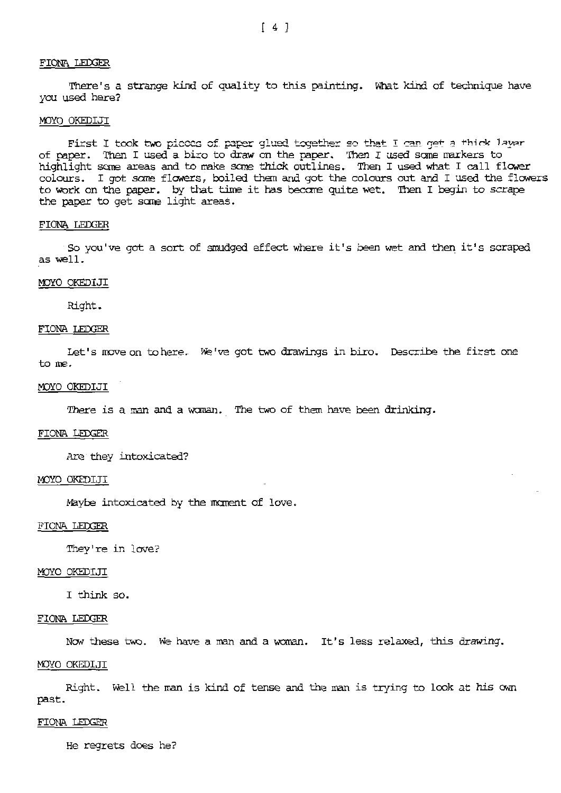# **FIONA LEOOER**

There's a strange kind of quality to this painting. What kind of technique have you used here?

# MJYO OKEDIJI

First I took two pieces of paper glued together so that I can get a thick layer of paper. Then I used a biro to draw on the paper. Then I used some markers to highlight sane areas and to make sane thick outlines. Then I used what I call flower colours. I got some flowers, boiled them and got the colours out and I used the flowers to work on the paper. by that time it has became quite wet. Then I begin to scrape the paper to get sare light areas.

#### FIONA LEDGER

So you've got a sort of smudged effect where it's been wet and then it's scraped as well.

## IDYO OKEDIJI

Right.

# FIONA LEDGER

Let's move on to here. We've got two drawings in biro. Describe the first one to me.

# MJYO OKEDIJI

There is a man and a wanan. The two of them have been drinking.

# FIONA LEDGER

Are they intoxicated?

# l'!)YO OKEDIJI

Maybe intoxicated by the manent of love.

### FIONA LEDGER

They're in love?

## MOYO OKEDIJI

I think so.

#### FIONA LEDGER

*Now these two.* We have a man and a woman. It's less relaxed, this drawing.

# MJYO OKEDIJI

Right. Well the man is kind of tense and the man *is* trying to look at his own past.

# FIONA LEDGER

He regrets does he?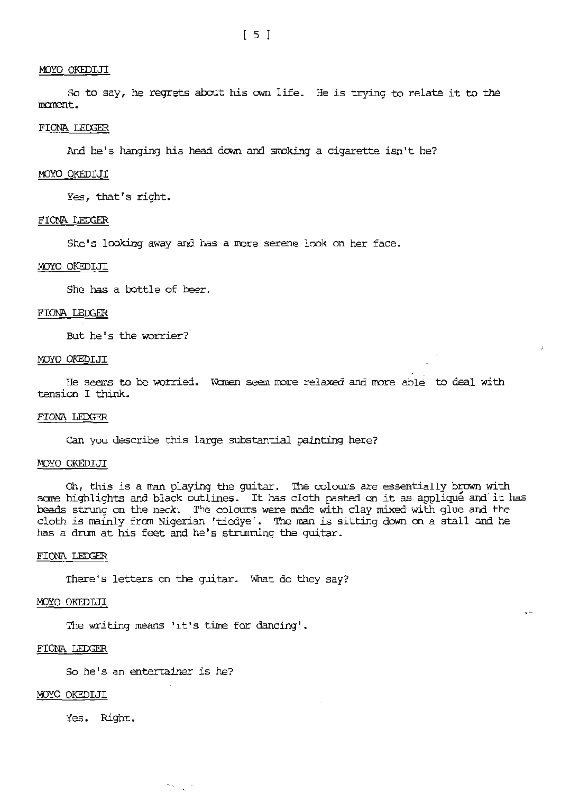# MOYO OKEDIJI

So to say, he regrets about his own life. He is trying to relate it to the m:ment.

# FIONA LEDGER

And he's-hanging his head down and srroking a cigarette isn't he?

# MOYO OKEDIJI

Yes, that's right.

## FIONA LEDGER

She's looking away and has a more serene look on her face.

## MJYO OKEDIJI

She has a bottle of beer.

# FIONA LEDGER

But he's the worrier?

#### MOYO OKEDIJI

He seems to be worried. Women seem more relaxed and more able to deal with tension I think.

## FIONA LEDGER

Can you describe this large substantial painting here?

## MOYO OKEDIJI

Oh, this is a man playing the guitar. The colours are essentially brown with sane highlights and black outlines. It has cloth pasted on it as applique and.it has beads strung on the neck. The colours were made with clay mixed with glue and the cloth is mainly from Nigerian 'tiedye'. The man is sitting down on a stall and he has a drum at his feet and he's stnmming the guitar.

# FIONA LEDGER

There's letters on the guitar. What do they say?

## MJYO OKEDIJI

The writing means 'it's time for dancing'.

## FIONA LEDGER

So he's an entertainer is he?

н.,

# r4JYO OKEDIJI

Yes. Right.